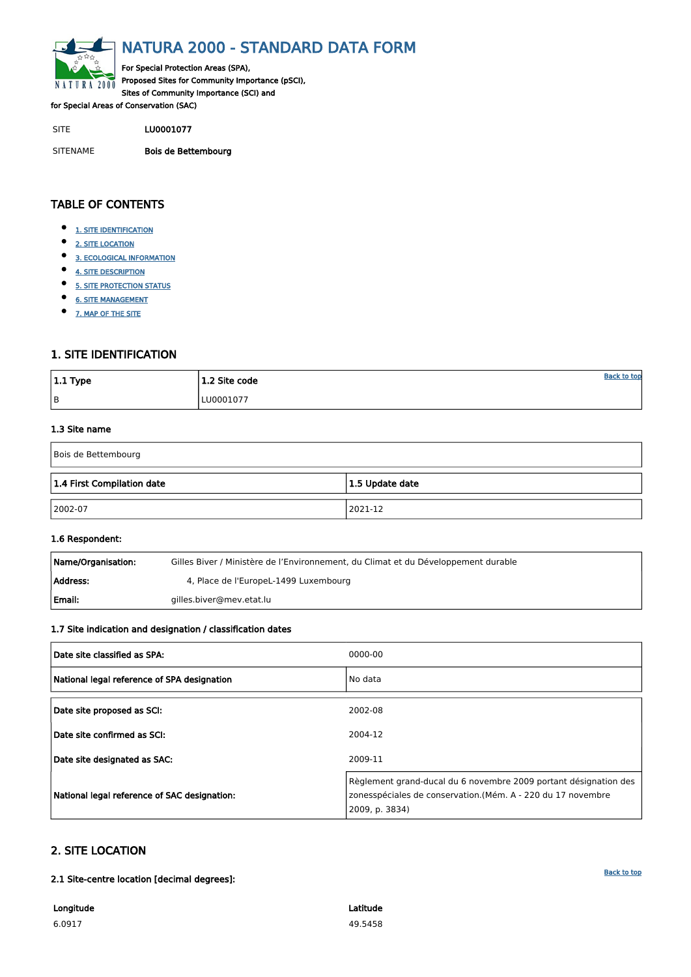<span id="page-0-0"></span>

# NATURA 2000 - STANDARD DATA FORM

For Special Protection Areas (SPA), Proposed Sites for Community Importance (pSCI), Sites of Community Importance (SCI) and

for Special Areas of Conservation (SAC)

- $\bullet$ [1. SITE IDENTIFICATION](#page-0-1)
- $\bullet$ [2. SITE LOCATION](#page-0-2)
- $\bullet$ [3. ECOLOGICAL INFORMATION](#page-1-0)
- $\bullet$ [4. SITE DESCRIPTION](#page-2-0)
- $\bullet$ [5. SITE PROTECTION STATUS](#page-3-0)
- $\bullet$ [6. SITE MANAGEMENT](#page-3-1)
- $\bullet$ [7. MAP OF THE SITE](#page-4-0)

SITE LU0001077

SITENAME Bois de Bettembourg

| $ 1.1$ Type | 1.2 Site code | <b>Back to top</b> |
|-------------|---------------|--------------------|
| B           | LU0001077     |                    |

# TABLE OF CONTENTS

| Name/Organisation: | Gilles Biver / Ministère de l'Environnement, du Climat et du Développement durable |
|--------------------|------------------------------------------------------------------------------------|
| Address:           | 4, Place de l'EuropeL-1499 Luxembourg                                              |
| Email:             | gilles.biver@mev.etat.lu                                                           |

# <span id="page-0-1"></span>1. SITE IDENTIFICATION

#### 1.3 Site name

| Bois de Bettembourg                           |         |  |  |  |  |  |  |
|-----------------------------------------------|---------|--|--|--|--|--|--|
| 1.4 First Compilation date<br>1.5 Update date |         |  |  |  |  |  |  |
| $ 2002-07$                                    | 2021-12 |  |  |  |  |  |  |

#### 1.6 Respondent:

#### 1.7 Site indication and designation / classification dates

| Date site classified as SPA:                | 0000-00 |
|---------------------------------------------|---------|
| National legal reference of SPA designation | No data |
| Date site proposed as SCI:                  | 2002-08 |
| Date site confirmed as SCI:                 | 2004-12 |

| Date site designated as SAC:                 | 2009-11                                                                                                                                           |
|----------------------------------------------|---------------------------------------------------------------------------------------------------------------------------------------------------|
| National legal reference of SAC designation: | Règlement grand-ducal du 6 novembre 2009 portant désignation des<br>zonesspéciales de conservation.(Mém. A - 220 du 17 novembre<br>2009, p. 3834) |

# <span id="page-0-2"></span>2. SITE LOCATION

2.1 Site-centre location [decimal degrees]:

Longitude 6.0917

Latitude 49.5458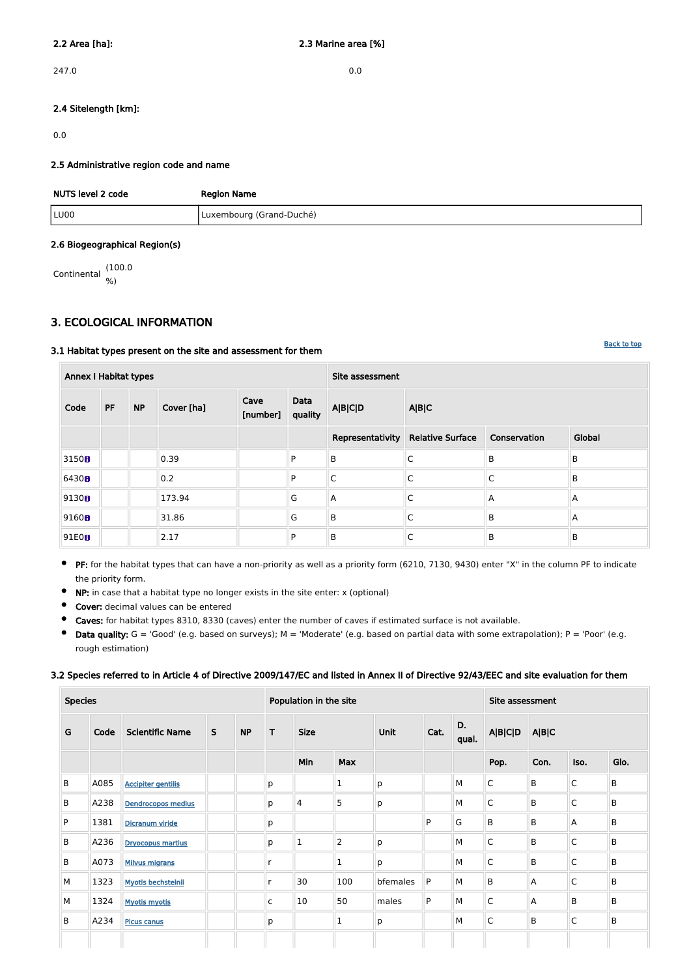247.0 0.0

#### 2.4 Sitelength [km]:

0.0

#### 2.5 Administrative region code and name

| NUTS level 2 code | <b>Region Name</b>       |
|-------------------|--------------------------|
| LU00              | Luxembourg (Grand-Duché) |

#### 2.6 Biogeographical Region(s)

Continental (100.0 %)

# <span id="page-1-0"></span>3. ECOLOGICAL INFORMATION

#### 3.1 Habitat types present on the site and assessment for them

**• PF:** for the habitat types that can have a non-priority as well as a priority form (6210, 7130, 9430) enter "X" in the column PF to indicate the priority form.

| <b>Annex I Habitat types</b> |           |           |            |                  |                 | Site assessment  |                                                 |                |        |  |  |
|------------------------------|-----------|-----------|------------|------------------|-----------------|------------------|-------------------------------------------------|----------------|--------|--|--|
| Code                         | <b>PF</b> | <b>NP</b> | Cover [ha] | Cave<br>[number] | Data<br>quality | <b>A B C D</b>   | A B C                                           |                |        |  |  |
|                              |           |           |            |                  |                 | Representativity | <b>Relative Surface</b><br>Conservation         |                | Global |  |  |
| 3150 <sub>0</sub>            |           |           | 0.39       |                  | P               | B                | C                                               | $\overline{B}$ | B      |  |  |
| 6430 <sub>8</sub>            |           |           | 0.2        |                  | P               | C                | $\mathsf C$                                     | $\mathsf{C}$   | B      |  |  |
| 9130 <sub>0</sub>            |           |           | 173.94     |                  | G               | Α                | $\mathsf C$<br>A<br>$\overline{A}$              |                |        |  |  |
| 9160 <sub>B</sub>            |           |           | 31.86      |                  | G               | B                | $\mathsf C$<br>$\overline{B}$<br>$\overline{A}$ |                |        |  |  |
| 91E0B                        |           |           | 2.17       |                  | P               | B                | B<br>С<br>B                                     |                |        |  |  |

- $\bullet$ NP: in case that a habitat type no longer exists in the site enter: x (optional)
- $\bullet$ Cover: decimal values can be entered
- $\bullet$ Caves: for habitat types 8310, 8330 (caves) enter the number of caves if estimated surface is not available.
- Data quality:  $G = 'Good'$  (e.g. based on surveys);  $M = 'Modern'$  (e.g. based on partial data with some extrapolation);  $P = 'Poor'$  (e.g.  $\bullet$ rough estimation)

#### 3.2 Species referred to in Article 4 of Directive 2009/147/EC and listed in Annex II of Directive 92/43/EEC and site evaluation for them

| <b>Species</b> |      |                           |              | Population in the site |              |             |                |          |              | Site assessment |                |       |              |         |
|----------------|------|---------------------------|--------------|------------------------|--------------|-------------|----------------|----------|--------------|-----------------|----------------|-------|--------------|---------|
| G              | Code | <b>Scientific Name</b>    | $\mathsf{S}$ | <b>NP</b>              | т            | <b>Size</b> |                | Unit     | Cat.         | D.<br>qual.     | <b>A B C D</b> | A B C |              |         |
|                |      |                           |              |                        |              | Min         | <b>Max</b>     |          |              |                 | Pop.           | Con.  | Iso.         | Glo.    |
| B              | A085 | <b>Accipiter gentilis</b> |              |                        | p            |             | $\mathbf{1}$   | p        |              | M               | $\mathsf{C}$   | B     | $\mathsf{C}$ | B       |
| B              | A238 | Dendrocopos medius        |              |                        | p            | 4           | 5              | p        |              | M               | $\mathsf{C}$   | B     | $\mathsf{C}$ | B       |
| P              | 1381 | Dicranum viride           |              |                        | p            |             |                |          | P            | G               | $\mathsf B$    | B     | Α            | B       |
| B              | A236 | <b>Dryocopus martius</b>  |              |                        | p            | $\mathbf 1$ | $\overline{2}$ | p        |              | M               | $\mathsf{C}$   | B     | $\mathsf{C}$ | $\sf B$ |
| B              | A073 | <b>Milvus migrans</b>     |              |                        |              |             | $\mathbf{1}$   | p        |              | M               | $\mathsf{C}$   | B     | $\mathsf{C}$ | B       |
| М              | 1323 | <b>Myotis bechsteinii</b> |              |                        |              | 30          | 100            | bfemales | P            | M               | B              | A     | $\mathsf{C}$ | B       |
| М              | 1324 | <b>Myotis myotis</b>      |              |                        | $\mathsf{C}$ | 10          | 50             | males    | $\mathsf{P}$ | M               | $\mathsf{C}$   | A     | B            | B       |
| B              | A234 | <b>Picus canus</b>        |              |                        | p            |             | $\mathbf 1$    | p        |              | M               | $\mathsf{C}$   | B     | $\mathsf{C}$ | B       |
|                |      |                           |              |                        |              |             |                |          |              |                 |                |       |              |         |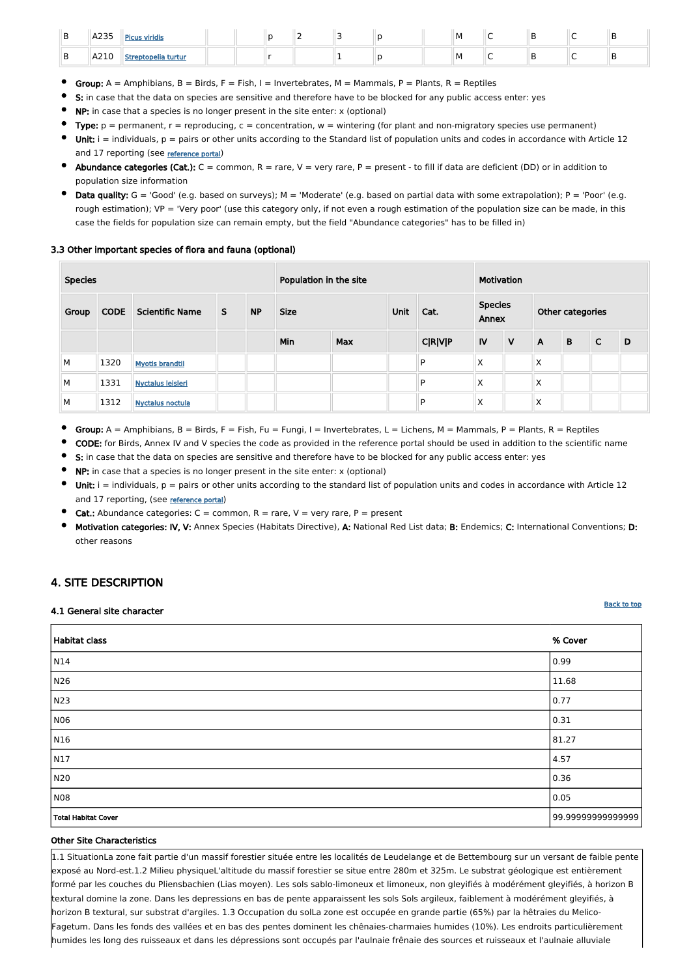| <u>.</u> | A235 | <b>Picus viridis</b> |  |  |  | M | . . |  |
|----------|------|----------------------|--|--|--|---|-----|--|
| ◡        | A210 | Streptopelia turtur  |  |  |  | M | . . |  |

- Group:  $A =$  Amphibians,  $B =$  Birds,  $F =$  Fish, I = Invertebrates, M = Mammals, P = Plants, R = Reptiles
- S: in case that the data on species are sensitive and therefore have to be blocked for any public access enter: yes
- NP: in case that a species is no longer present in the site enter: x (optional)
- Type:  $p =$  permanent,  $r =$  reproducing,  $c =$  concentration,  $w =$  wintering (for plant and non-migratory species use permanent)
- Unit:  $i =$  individuals,  $p =$  pairs or other units according to the Standard list of population units and codes in accordance with Article 12 and 17 reporting (see [reference portal](http://bd.eionet.europa.eu/activities/Natura_2000/reference_portal))
- Abundance categories (Cat.):  $C =$  common,  $R =$  rare,  $V =$  very rare,  $P =$  present to fill if data are deficient (DD) or in addition to population size information
- Data quality:  $G = 'Good'$  (e.g. based on surveys);  $M = 'Modern'$  (e.g. based on partial data with some extrapolation);  $P = 'Poor'$  (e.g. rough estimation); VP = 'Very poor' (use this category only, if not even a rough estimation of the population size can be made, in this case the fields for population size can remain empty, but the field "Abundance categories" has to be filled in)

- Group:  $A =$  Amphibians,  $B =$  Birds,  $F =$  Fish,  $Fu =$  Fungi,  $I =$  Invertebrates,  $L =$  Lichens,  $M =$  Mammals,  $P =$  Plants,  $R =$  Reptiles
- CODE: for Birds, Annex IV and V species the code as provided in the reference portal should be used in addition to the scientific name
- S: in case that the data on species are sensitive and therefore have to be blocked for any public access enter: yes
- NP: in case that a species is no longer present in the site enter: x (optional)
- Unit:  $i =$  individuals,  $p =$  pairs or other units according to the standard list of population units and codes in accordance with Article 12 and 17 reporting, (see [reference portal](http://bd.eionet.europa.eu/activities/Natura_2000/reference_portal))
- **Cat.:** Abundance categories:  $C =$  common,  $R =$  rare,  $V =$  very rare,  $P =$  present
- $\bullet$ Motivation categories: IV, V: Annex Species (Habitats Directive), A: National Red List data; B: Endemics; C: International Conventions; D: other reasons

#### 3.3 Other important species of flora and fauna (optional)

| <b>Species</b><br>Population in the site |             |                         |   |           |             | Motivation |  |                |             |              |                         |   |              |                  |  |  |
|------------------------------------------|-------------|-------------------------|---|-----------|-------------|------------|--|----------------|-------------|--------------|-------------------------|---|--------------|------------------|--|--|
| Group                                    | <b>CODE</b> | <b>Scientific Name</b>  | S | <b>NP</b> | <b>Size</b> |            |  |                | <b>Unit</b> | Cat.         | <b>Species</b><br>Annex |   |              | Other categories |  |  |
|                                          |             |                         |   |           | Min         | <b>Max</b> |  | <b>C R V P</b> | IV          | $\mathsf{V}$ | $\mathsf{A}$            | B | $\mathsf{C}$ | D                |  |  |
| M                                        | 1320        | <b>Myotis brandtii</b>  |   |           |             |            |  | P              | Χ           |              | X                       |   |              |                  |  |  |
| M                                        | 1331        | Nyctalus leisleri       |   |           |             |            |  | P              | Χ           |              | X                       |   |              |                  |  |  |
| M                                        | 1312        | <b>Nyctalus noctula</b> |   |           |             |            |  | P              | X           |              | X                       |   |              |                  |  |  |

### <span id="page-2-0"></span>4. SITE DESCRIPTION

#### 4.1 General site character

| <b>Habitat class</b>       | % Cover           |
|----------------------------|-------------------|
| N14                        | 0.99              |
| N26                        | 11.68             |
| N23                        | 0.77              |
| NO6                        | 0.31              |
| N16                        | 81.27             |
| N17                        | 4.57              |
| N20                        | 0.36              |
| N08                        | 0.05              |
| <b>Total Habitat Cover</b> | 99.99999999999999 |

#### Other Site Characteristics

1.1 SituationLa zone fait partie d'un massif forestier située entre les localités de Leudelange et de Bettembourg sur un versant de faible pente exposé au Nord-est.1.2 Milieu physiqueL'altitude du massif forestier se situe entre 280m et 325m. Le substrat géologique est entièrement formé par les couches du Pliensbachien (Lias moyen). Les sols sablo-limoneux et limoneux, non gleyifiés à modérément gleyifiés, à horizon B textural domine la zone. Dans les depressions en bas de pente apparaissent les sols Sols argileux, faiblement à modérément gleyifiés, à horizon B textural, sur substrat d'argiles. 1.3 Occupation du solLa zone est occupée en grande partie (65%) par la hêtraies du Melico-Fagetum. Dans les fonds des vallées et en bas des pentes dominent les chênaies-charmaies humides (10%). Les endroits particulièrement humides les long des ruisseaux et dans les dépressions sont occupés par l'aulnaie frênaie des sources et ruisseaux et l'aulnaie alluviale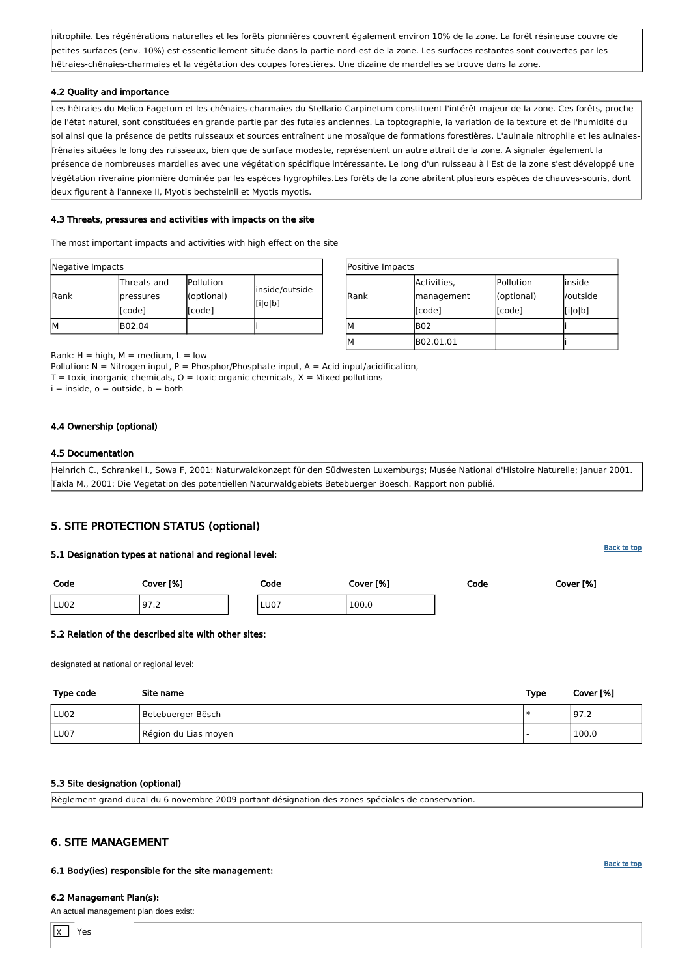[Back to top](#page-0-0)

| Positive Impacts |             |            |          |  |  |  |  |  |  |  |
|------------------|-------------|------------|----------|--|--|--|--|--|--|--|
|                  | Activities, | Pollution  | linside  |  |  |  |  |  |  |  |
| <b>Rank</b>      | management  | (optional) | /outside |  |  |  |  |  |  |  |
|                  | [code]      | [code]     | [i o b]  |  |  |  |  |  |  |  |
| М                | <b>B02</b>  |            |          |  |  |  |  |  |  |  |
| М                | B02.01.01   |            |          |  |  |  |  |  |  |  |

Rank:  $H = high$ ,  $M = medium$ ,  $L = low$ 

Pollution:  $N =$  Nitrogen input, P = Phosphor/Phosphate input, A = Acid input/acidification,

 $T =$  toxic inorganic chemicals,  $O =$  toxic organic chemicals,  $X =$  Mixed pollutions

 $i =$  inside,  $o =$  outside,  $b =$  both

| Negative Impacts |                                                   |                                    |                           |  |  |  |
|------------------|---------------------------------------------------|------------------------------------|---------------------------|--|--|--|
| <b>Rank</b>      | Threats and<br><i><b>pressures</b></i><br>[[code] | Pollution<br>(optional)<br>[[code] | inside/outside<br>[i o b] |  |  |  |
| ΙM               | B02.04                                            |                                    |                           |  |  |  |

nitrophile. Les régénérations naturelles et les forêts pionnières couvrent également environ 10% de la zone. La forêt résineuse couvre de petites surfaces (env. 10%) est essentiellement située dans la partie nord-est de la zone. Les surfaces restantes sont couvertes par les hêtraies-chênaies-charmaies et la végétation des coupes forestières. Une dizaine de mardelles se trouve dans la zone.

#### 4.2 Quality and importance

Les hêtraies du Melico-Fagetum et les chênaies-charmaies du Stellario-Carpinetum constituent l'intérêt majeur de la zone. Ces forêts, proche de l'état naturel, sont constituées en grande partie par des futaies anciennes. La toptographie, la variation de la texture et de l'humidité du sol ainsi que la présence de petits ruisseaux et sources entraînent une mosaïque de formations forestières. L'aulnaie nitrophile et les aulnaiesfrênaies situées le long des ruisseaux, bien que de surface modeste, représentent un autre attrait de la zone. A signaler également la présence de nombreuses mardelles avec une végétation spécifique intéressante. Le long d'un ruisseau à l'Est de la zone s'est développé une végétation riveraine pionnière dominée par les espèces hygrophiles.Les forêts de la zone abritent plusieurs espèces de chauves-souris, dont deux figurent à l'annexe II, Myotis bechsteinii et Myotis myotis.

 $\mathsf{X}% _{T}$ Yes

#### 4.3 Threats, pressures and activities with impacts on the site

The most important impacts and activities with high effect on the site

#### 4.4 Ownership (optional)

#### 4.5 Documentation

Heinrich C., Schrankel I., Sowa F, 2001: Naturwaldkonzept für den Südwesten Luxemburgs; Musée National d'Histoire Naturelle; Januar 2001. Takla M., 2001: Die Vegetation des potentiellen Naturwaldgebiets Betebuerger Boesch. Rapport non publié.

# <span id="page-3-0"></span>5. SITE PROTECTION STATUS (optional)

#### 5.1 Designation types at national and regional level:

| Code | Cover [%] | Code | Cover [%] | Code | Cover [%] |
|------|-----------|------|-----------|------|-----------|
| LU02 | 197.2     | LU07 | 100.0     |      |           |

#### 5.2 Relation of the described site with other sites:

designated at national or regional level:

| Type code | Site name            | Type | Cover [%] |
|-----------|----------------------|------|-----------|
| LU02      | Betebuerger Bësch    |      | 197.2     |
| LU07      | Région du Lias moyen |      | 100.0     |

#### 5.3 Site designation (optional)

Règlement grand-ducal du 6 novembre 2009 portant désignation des zones spéciales de conservation.

# <span id="page-3-1"></span>6. SITE MANAGEMENT

6.1 Body(ies) responsible for the site management:

#### 6.2 Management Plan(s):

An actual management plan does exist: